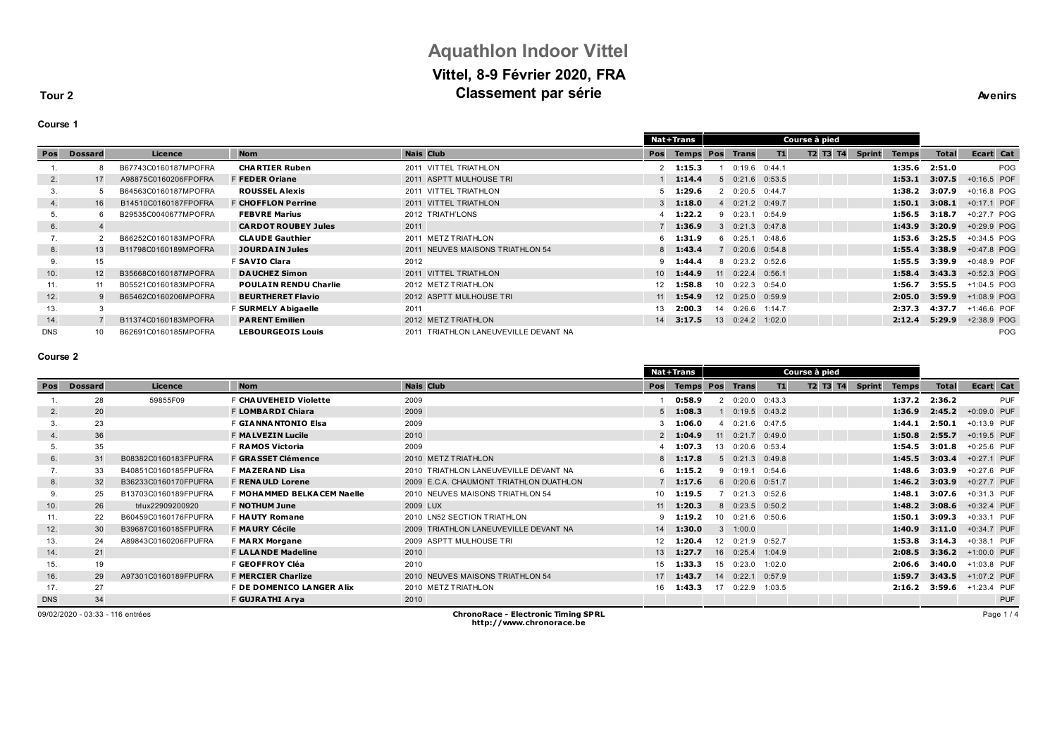# **Aquathlon Indoor Vittel Vittel, 8-9 Février 2020, FRA Classement par série Avenirs Avenirs**

**Tour 2**

### **Course 1**

|              |                 |                      |                              |                                       |                 | <b>Nat+Trans</b> |                 |                             |        | Course à pied |               |              |              |               |
|--------------|-----------------|----------------------|------------------------------|---------------------------------------|-----------------|------------------|-----------------|-----------------------------|--------|---------------|---------------|--------------|--------------|---------------|
| Pos          | <b>Dossard</b>  | Licence              | <b>Nom</b>                   | <b>Nais Club</b>                      | Pos             | <b>Temps Pos</b> |                 | <b>Trans</b>                | T1     | T2 T3 T4      | <b>Sprint</b> | <b>Temps</b> | <b>Total</b> | Ecart Cat     |
|              |                 | B67743C0160187MPOFRA | <b>CHARTIER Ruben</b>        | 2011 VITTEL TRIATHLON                 |                 | 1:15.3           |                 | 0:19.6                      | 0:44.1 |               |               | 1:35.6       | 2:51.0       | POG           |
| 2.           | 17              | A98875C0160206FPOFRA | <b>F FEDER Oriane</b>        | 2011 ASPTT MULHOUSE TRI               |                 | 1:14.4           |                 | 5 0:21.6 0:53.5             |        |               |               | 1:53.1       | 3:07.5       | +0:16.5 POF   |
| 3.           |                 | B64563C0160187MPOFRA | <b>ROUSSEL Alexis</b>        | 2011 VITTEL TRIATHLON                 |                 | 1:29.6           |                 | 20:20.5                     | 0:44.7 |               |               | 1:38.2       | 3:07.9       | +0:16.8 POG   |
| 4.           | 16              | B14510C0160187FPOFRA | <b>F CHOFFLON Perrine</b>    | 2011 VITTEL TRIATHLON                 |                 | $3 - 1:18.0$     |                 | 4 0:21.2 0:49.7             |        |               |               | 1:50.1       | 3:08.1       | $+0:17.1$ POF |
| 5.           |                 | B29535C0040677MPOFRA | <b>FEBVRE Marius</b>         | 2012 TRIATH'LONS                      |                 | 1:22.2           |                 | 90:23.1                     | 0:54.9 |               |               | 1:56.5       | 3:18.7       | +0:27.7 POG   |
| 6.           |                 |                      | <b>CARDOT ROUBEY Jules</b>   | 2011                                  |                 | 1:36.9           |                 | $3\quad 0:21.3\quad 0:47.8$ |        |               |               | 1:43.9       | 3:20.9       | $+0.29.9$ POG |
| $\mathbf{I}$ |                 | B66252C0160183MPOFRA | <b>CLAUDE Gauthier</b>       | 2011 METZ TRIATHLON                   |                 | $6$ 1:31.9       |                 | 60:25.1                     | 0:48.6 |               |               | 1:53.6       | 3:25.5       | +0:34.5 POG   |
| 8.           | 13 <sup>1</sup> | B11798C0160189MPOFRA | <b>JOURDAIN Jules</b>        | 2011 NEUVES MAISONS TRIATHLON 54      |                 | $8$ 1:43.4       |                 | $0:20.6$ 0:54.8             |        |               |               | 1:55.4       | 3:38.9       | +0:47.8 POG   |
| 9.           | 15              |                      | F SAVIO Clara                | 2012                                  |                 | 1:44.4           |                 | 8 0:23.2 0:52.6             |        |               |               | 1:55.5       | 3:39.9       | +0:48.9 POF   |
| 10.          | 12              | B35668C0160187MPOFRA | <b>DAUCHEZ Simon</b>         | 2011 VITTEL TRIATHLON                 | 10 <sup>1</sup> | 1:44.9           |                 | 11 0:22.4 0:56.1            |        |               |               | 1:58.4       | 3:43.3       | +0:52.3 POG   |
| 11.          |                 | B05521C0160183MPOFRA | <b>POULAIN RENDU Charlie</b> | 2012 METZ TRIATHLON                   | 12              | 1:58.8           | 10 <sup>1</sup> | 0:22.3                      | 0:54.0 |               |               | 1:56.7       | 3:55.5       | +1:04.5 POG   |
| 12.          |                 | B65462C0160206MPOFRA | <b>BEURTHERET Flavio</b>     | 2012 ASPTT MULHOUSE TRI               | 11              | 1:54.9           |                 | $12 \quad 0:25.0$           | 0:59.9 |               |               | 2:05.0       | 3:59.9       | +1:08.9 POG   |
| 13.          |                 |                      | <b>SURMELY Abigaelle</b>     | 2011                                  | 13              | 2:00.3           | 14              | 0:26.6                      | 1:14.7 |               |               | 2:37.3       | 4:37.7       | +1:46.6 POF   |
| 14.          |                 | B11374C0160183MPOFRA | <b>PARENT Emilien</b>        | 2012 METZ TRIATHLON                   | 14              | 3:17.5           |                 | 13 0:24.2 1:02.0            |        |               |               | 2:12.4       | 5:29.9       | +2:38.9 POG   |
| <b>DNS</b>   | 10              | B62691C0160185MPOFRA | <b>LEBOURGEOIS Louis</b>     | 2011 TRIATHLON LANEUVEVILLE DEVANT NA |                 |                  |                 |                             |        |               |               |              |              | <b>POG</b>    |

### **Course 2**

| Pos<br>Licence<br><b>Dossard</b> |                                  |                      | <b>Nat+Trans</b><br>Course à pied |                                            |                   |                        |    |                   |        |          |               |              |        |             |            |
|----------------------------------|----------------------------------|----------------------|-----------------------------------|--------------------------------------------|-------------------|------------------------|----|-------------------|--------|----------|---------------|--------------|--------|-------------|------------|
|                                  |                                  |                      | <b>Nom</b>                        | <b>Nais Club</b>                           | Pos               | <b>Temps Pos Trans</b> |    |                   | T1     | T2 T3 T4 | <b>Sprint</b> | <b>Temps</b> | Total  |             | Ecart Cat  |
|                                  | 28                               | 59855F09             | <b>F CHAUVEHEID Violette</b>      | 2009                                       |                   | 0:58.9                 |    | 0:20.0            | 0:43.3 |          |               | 1:37.2       | 2:36.2 |             | PUF        |
| 2.                               | 20                               |                      | F LOMBARDI Chiara                 | 2009                                       | 5                 | 1:08.3                 |    | $0:19.5$ $0:43.2$ |        |          |               | 1:36.9       | 2:45.2 | +0:09.0 PUF |            |
| 3.                               | 23                               |                      | <b>F GIANNANTONIO Elsa</b>        | 2009                                       |                   | 1:06.0                 |    | 0:21.6            | 0:47.5 |          |               | 1:44.1       | 2:50.1 | +0:13.9 PUF |            |
| 4.                               | 36                               |                      | <b>F MALVEZIN Lucile</b>          | 2010                                       |                   | $2$ 1:04.9             | 11 | $0:21.7$ $0:49.0$ |        |          |               | 1:50.8       | 2:55.7 | +0:19.5 PUF |            |
| 5.                               | 35                               |                      | <b>F RAMOS Victoria</b>           | 2009                                       |                   | 1:07.3                 | 13 | $0:20.6$ $0:53.4$ |        |          |               | 1:54.5       | 3:01.8 | +0:25.6 PUF |            |
| 6.                               | 31                               | B08382C0160183FPUFRA | <b>F GRASSET Clémence</b>         | 2010 METZ TRIATHLON                        |                   | $8$ 1:17.8             |    | 5 0:21.3 0:49.8   |        |          |               | 1:45.5       | 3:03.4 | +0:27.1 PUF |            |
| $\mathbf{r}$ .                   | 33                               | B40851C0160185FPUFRA | F MAZERAND Lisa                   | 2010 TRIATHLON LANEUVEVILLE DEVANT NA      | 6                 | 1:15.2                 |    | 0:19.1            | 0:54.6 |          |               | 1:48.6       | 3:03.9 | +0:27.6 PUF |            |
| 8.                               | 32 <sup>2</sup>                  | B36233C0160170FPUFRA | <b>F RENAULD Lorene</b>           | 2009 E.C.A. CHAUMONT TRIATHLON DUATHLON    |                   | 1:17.6                 |    | 6 0:20.6 0:51.7   |        |          |               | 1:46.2       | 3:03.9 | +0:27.7 PUF |            |
| 9.                               | 25                               | B13703C0160189FPUFRA | <b>F MOHAMMED BELKACEM Naelle</b> | 2010 NEUVES MAISONS TRIATHLON 54           | 10                | 1:19.5                 |    | $0:21.3$ $0:52.6$ |        |          |               | 1:48.1       | 3:07.6 | +0:31.3 PUF |            |
| 10.                              | 26                               | trlux22909200920     | <b>F NOTHUM June</b>              | 2009 LUX                                   | 11                | 1:20.3                 |    | 8 0:23.5 0:50.2   |        |          |               | 1:48.2       | 3:08.6 | +0:32.4 PUF |            |
| 11.                              | 22                               | B60459C0160176FPUFRA | <b>F HAUTY Romane</b>             | 2010 LN52 SECTION TRIATHLON                | ۰Q                | 1:19.2                 | 10 | 0:21.6            | 0:50.6 |          |               | 1:50.1       | 3:09.3 | +0:33.1 PUF |            |
| 12.                              | 30                               | B39687C0160185FPUFRA | <b>F MAURY Cécile</b>             | 2009 TRIATHLON LANEUVEVILLE DEVANT NA      | 14                | 1:30.0                 |    | $3 - 1:00.0$      |        |          |               | 1:40.9       | 3:11.0 | +0:34.7 PUF |            |
| 13.                              | 24                               | A89843C0160206FPUFRA | <b>F MARX Morgane</b>             | 2009 ASPTT MULHOUSE TRI                    | $12 \overline{ }$ | 1:20.4                 | 12 | $0:21.9$ 0:52.7   |        |          |               | 1:53.8       | 3:14.3 | +0:38.1 PUF |            |
| 14.                              | 21                               |                      | <b>F LALANDE Madeline</b>         | 2010                                       | 13                | 1:27.7                 | 16 | 0:25.4            | 1:04.9 |          |               | 2:08.5       | 3:36.2 | +1:00.0 PUF |            |
| 15.                              | 19                               |                      | F GEOFFROY Cléa                   | 2010                                       | 15                | 1:33.3                 | 15 | 0:23.0            | 1:02.0 |          |               | 2:06.6       | 3:40.0 | +1:03.8 PUF |            |
| 16.                              | 29                               | A97301C0160189FPUFRA | <b>F MERCIER Charlize</b>         | 2010 NEUVES MAISONS TRIATHLON 54           | 17                | 1:43.7                 | 14 | 0:22.1            | 0:57.9 |          |               | 1:59.7       | 3:43.5 | +1:07.2 PUF |            |
| 17.                              | 27                               |                      | <b>F DE DOMENICO LANGER Alix</b>  | 2010 METZ TRIATHLON                        | 16                | 1:43.3                 | 17 | 0:22.9            | 1:03.5 |          |               | 2:16.2       | 3:59.6 | +1:23.4 PUF |            |
| <b>DNS</b>                       | 34                               |                      | F GUJRATHI Arya                   | 2010                                       |                   |                        |    |                   |        |          |               |              |        |             | <b>PUF</b> |
|                                  | 09/02/2020 - 03:33 - 116 entrées |                      |                                   | <b>ChronoRace - Electronic Timing SPRL</b> |                   |                        |    |                   |        |          |               |              |        |             | Page 1/4   |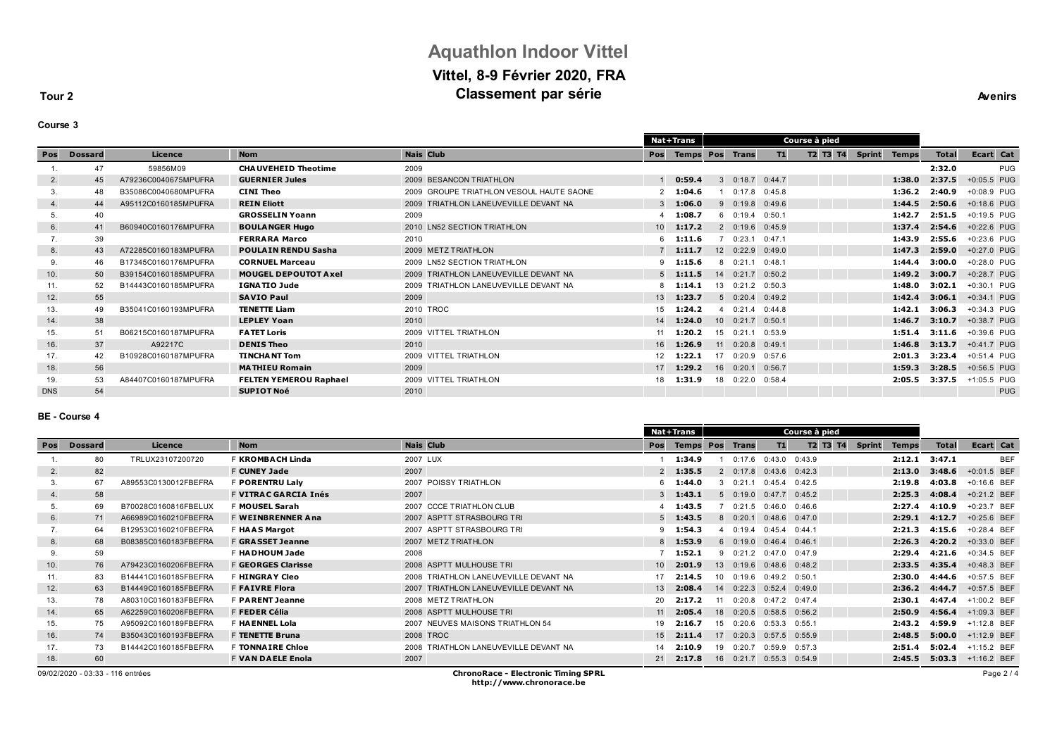# **Aquathlon Indoor Vittel Vittel, 8-9 Février 2020, FRA Classement par série Avenirs Avenirs**

**Tour 2**

| our<br>l |  |
|----------|--|
|----------|--|

|            |                |                      |                               |                                          |                 | Nat+Trans |                         |                   | Course à pied |               |              |              |             |
|------------|----------------|----------------------|-------------------------------|------------------------------------------|-----------------|-----------|-------------------------|-------------------|---------------|---------------|--------------|--------------|-------------|
| Pos        | <b>Dossard</b> | Licence              | <b>Nom</b>                    | <b>Nais Club</b>                         | Pos             |           | <b>Temps Pos Trans</b>  | T1                | T2 T3 T4      | <b>Sprint</b> | <b>Temps</b> | <b>Total</b> | Ecart Cat   |
|            | 47             | 59856M09             | <b>CHAUVEHEID Theotime</b>    | 2009                                     |                 |           |                         |                   |               |               |              | 2:32.0       | <b>PUG</b>  |
| 2.         | 45             | A79236C0040675MPUFRA | <b>GUERNIER Jules</b>         | 2009 BESANCON TRIATHLON                  |                 | 0:59.4    | 30:18.7                 | 0:44.7            |               |               | 1:38.0       | 2:37.5       | +0:05.5 PUG |
|            | 48             | B35086C0040680MPUFRA | CINI Theo                     | 2009 GROUPE TRIATHLON VESOUL HAUTE SAONE |                 | 1:04.6    |                         | $0:17.8$ $0:45.8$ |               |               | 1:36.2       | 2:40.9       | +0:08.9 PUG |
| 4.         | 44             | A95112C0160185MPUFRA | <b>REIN Eliott</b>            | 2009 TRIATHLON LANEUVEVILLE DEVANT NA    |                 | 1:06.0    | 90:19.8                 | 0:49.6            |               |               | 1:44.5       | 2:50.6       | +0:18.6 PUG |
|            | 40             |                      | <b>GROSSELIN Yoann</b>        | 2009                                     |                 | 1:08.7    | 60:19.4                 | 0:50.1            |               |               | 1:42.7       | 2:51.5       | +0:19.5 PUG |
| 6.         | 41             | B60940C0160176MPUFRA | <b>BOULANGER Hugo</b>         | 2010 LN52 SECTION TRIATHLON              | 10 <sup>1</sup> | 1:17.2    | 2 0:19.6 0:45.9         |                   |               |               | 1:37.4       | 2:54.6       | +0:22.6 PUG |
|            | 39             |                      | <b>FERRARA Marco</b>          | 2010                                     |                 | 1:11.6    | 0:23.1                  | 0:47.1            |               |               | 1:43.9       | 2:55.6       | +0:23.6 PUG |
| 8.         | 43             | A72285C0160183MPUFRA | <b>POULAIN RENDU Sasha</b>    | 2009 METZ TRIATHLON                      |                 | 1:11.7    | 12 0:22.9               | 0:49.0            |               |               | 1:47.3       | 2:59.0       | +0:27.0 PUG |
| 9.         | 46             | B17345C0160176MPUFRA | <b>CORNUEL Marceau</b>        | 2009 LN52 SECTION TRIATHLON              | 9               | 1:15.6    | 8 0:21.1                | 0:48.1            |               |               | 1:44.4       | 3:00.0       | +0:28.0 PUG |
| 10.        | 50             | B39154C0160185MPUFRA | <b>MOUGEL DEPOUTOT Axel</b>   | 2009 TRIATHLON LANEUVEVILLE DEVANT NA    |                 | 1:11.5    | 14 0:21.7               | 0:50.2            |               |               | 1:49.2       | 3:00.7       | +0:28.7 PUG |
| 11.        | 52             | B14443C0160185MPUFRA | <b>IGNATIO Jude</b>           | 2009 TRIATHLON LANEUVEVILLE DEVANT NA    |                 | 1:14.1    | 13 0:21.2 0:50.3        |                   |               |               | 1:48.0       | 3:02.1       | +0:30.1 PUG |
| 12.        | 55             |                      | <b>SAVIO Paul</b>             | 2009                                     | 13              | 1:23.7    | 5 0:20.4 0:49.2         |                   |               |               | 1:42.4       | 3:06.1       | +0:34.1 PUG |
| 13.        | 49             | B35041C0160193MPUFRA | <b>TENETTE Liam</b>           | 2010 TROC                                | 15              | 1:24.2    | 0:21.4                  | 0:44.8            |               |               | 1:42.1       | 3:06.3       | +0:34.3 PUG |
| 14.        | 38             |                      | <b>LEPLEY Yoan</b>            | 2010                                     | 14              | 1:24.0    | $10 \quad 0:21.7$       | 0:50.1            |               |               | 1:46.7       | 3:10.7       | +0:38.7 PUG |
| 15.        | 51             | B06215C0160187MPUFRA | <b>FATET Loris</b>            | 2009 VITTEL TRIATHLON                    | 11              | 1:20.2    | 0:21.1<br>15            | 0:53.9            |               |               | 1:51.4       | 3:11.6       | +0:39.6 PUG |
| 16.        | 37             | A92217C              | <b>DENIS Theo</b>             | 2010                                     | 16              | 1:26.9    | $0:20.8$ $0:49.1$<br>11 |                   |               |               | 1:46.8       | 3:13.7       | +0:41.7 PUG |
| 17.        | 42             | B10928C0160187MPUFRA | <b>TINCHANT Tom</b>           | 2009 VITTEL TRIATHLON                    | 12 <sup>°</sup> | 1:22.1    | 17                      | 0:20.9 0:57.6     |               |               | 2:01.3       | 3:23.4       | +0:51.4 PUG |
| 18.        | 56             |                      | <b>MATHIEU Romain</b>         | 2009                                     | 17              | 1:29.2    | $16$ 0:20.1             | 0:56.7            |               |               | 1:59.3       | 3:28.5       | +0:56.5 PUG |
| 19.        | 53             | A84407C0160187MPUFRA | <b>FELTEN YEMEROU Raphael</b> | 2009 VITTEL TRIATHLON                    | 18              | 1:31.9    | 18 0:22.0               | 0:58.4            |               |               | 2:05.5       | 3:37.5       | +1:05.5 PUG |
| <b>DNS</b> | 54             |                      | <b>SUPIOT Noé</b>             | 2010                                     |                 |           |                         |                   |               |               |              |              | <b>PUG</b>  |
|            |                |                      |                               |                                          |                 |           |                         |                   |               |               |              |              |             |

### **BE - Course 4**

|     |                                  |                      |                             |                                            |                 | Nat+Trans              |    |                |                            | Course à pied     |          |               |              |              |               |  |
|-----|----------------------------------|----------------------|-----------------------------|--------------------------------------------|-----------------|------------------------|----|----------------|----------------------------|-------------------|----------|---------------|--------------|--------------|---------------|--|
| Pos | <b>Dossard</b>                   | Licence              | <b>Nom</b>                  | <b>Nais Club</b>                           | Pos             | <b>Temps Pos Trans</b> |    |                | T1                         |                   | T2 T3 T4 | <b>Sprint</b> | <b>Temps</b> | <b>Total</b> | Ecart Cat     |  |
|     | 80                               | TRLUX23107200720     | <b>F KROMBACH Linda</b>     | 2007 LUX                                   |                 | 1:34.9                 |    |                | $0:17.6$ $0:43.0$ $0:43.9$ |                   |          |               | 2:12.1       | 3:47.1       | <b>BEF</b>    |  |
| 2.  | 82                               |                      | <b>F CUNEY Jade</b>         | 2007                                       |                 | $2$ 1:35.5             |    | $2 \t 0:17.8$  | 0:43.6                     | 0:42.3            |          |               | 2:13.0       | 3:48.6       | +0:01.5 BEF   |  |
| 3.  | 67                               | A89553C0130012FBEFRA | <b>F PORENTRU Lalv</b>      | 2007 POISSY TRIATHLON                      |                 | 1:44.0                 |    | 30:21.1        | $0:45.4$ $0:42.5$          |                   |          |               | 2:19.8       | 4:03.8       | $+0:16.6$ BEF |  |
| 4.  | 58                               |                      | <b>F VITRAC GARCIA Inés</b> | 2007                                       |                 | 1:43.1                 |    | 50:19.0        | $0:47.7$ $0:45.2$          |                   |          |               | 2:25.3       | 4:08.4       | +0:21.2 BEF   |  |
| 5.  | 69                               | B70028C0160816FBELUX | F MOUSEL Sarah              | 2007 CCCE TRIATHLON CLUB                   |                 | 1:43.5                 |    |                | $0:21.5$ $0:46.0$ $0:46.6$ |                   |          |               | 2:27.4       | 4:10.9       | +0:23.7 BEF   |  |
| 6.  | 71                               | A66989C0160210FBEFRA | <b>F WEINBRENNER Ana</b>    | 2007 ASPTT STRASBOURG TRI                  |                 | 1:43.5                 |    | 80:20.1        | 0:48.6                     | 0:47.0            |          |               | 2:29.1       | 4:12.7       | $+0:25.6$ BEF |  |
| 7.  | 64                               | B12953C0160210FBEFRA | <b>F HAAS Margot</b>        | 2007 ASPTT STRASBOURG TRI                  |                 | 1:54.3                 |    | 0:19.4         | 0:45.4                     | 0:44.1            |          |               | 2:21.3       | 4:15.6       | +0:28.4 BEF   |  |
| 8.  | 68                               | B08385C0160183FBEFRA | <b>F GRASSET Jeanne</b>     | 2007 METZ TRIATHLON                        |                 | 1:53.9                 |    | 60:19.0        | 0:46.4                     | 0:46.1            |          |               | 2:26.3       | 4:20.2       | +0:33.0 BEF   |  |
| 9.  | 59                               |                      | - HADHOUM Jade              | 2008                                       |                 | 1:52.1                 |    |                | 9 0:21.2 0:47.0 0:47.9     |                   |          |               | 2:29.4       | 4:21.6       | $+0:34.5$ BEF |  |
| 10. | 76                               | A79423C0160206FBEFRA | <b>F GEORGES Clarisse</b>   | 2008 ASPTT MULHOUSE TRI                    | 10 <sup>1</sup> | 2:01.9                 |    | 13 0:19.6      | $0:48.6$ $0:48.2$          |                   |          |               | 2:33.5       | 4:35.4       | $+0:48.3$ BEF |  |
| 11. | 83                               | B14441C0160185FBEFRA | <b>HINGRAY Cleo</b>         | 2008 TRIATHLON LANEUVEVILLE DEVANT NA      | 17              | 2:14.5                 |    | $10 \t 0:19.6$ | $0:49.2$ $0:50.1$          |                   |          |               | 2:30.0       | 4:44.6       | +0:57.5 BEF   |  |
| 12. | 63                               | B14449C0160185FBEFRA | <b>F FAIVRE Flora</b>       | 2007 TRIATHLON LANEUVEVILLE DEVANT NA      | 13              | 2:08.4                 |    | 14 0:22.3      | 0:52.4                     | 0:49.0            |          |               | 2:36.2       | 4:44.7       | +0:57.5 BEF   |  |
| 13. | 78                               | A80310C0160183FBEFRA | <b>F PARENT Jeanne</b>      | 2008 METZ TRIATHLON                        | 20              | 2:17.2                 | 11 | 0:20.8         | $0:47.2$ $0:47.4$          |                   |          |               | 2:30.1       | 4:47.4       | +1:00.2 BEF   |  |
| 14. | 65                               | A62259C0160206FBEFRA | F FEDER Célia               | 2008 ASPTT MULHOUSE TRI                    | 11              | 2:05.4                 |    | 18 0:20.5      | 0:58.5                     | 0:56.2            |          |               | 2:50.9       | 4:56.4       | +1:09.3 BEF   |  |
| 15. | 75                               | A95092C0160189FBEFRA | F HA ENNEL Lola             | 2007 NEUVES MAISONS TRIATHLON 54           | 19              | 2:16.7                 |    | 15 0:20.6      | 0:53.3                     | 0:55.1            |          |               | 2:43.2       | 4:59.9       | +1:12.8 BEF   |  |
| 16. | 74                               | B35043C0160193FBEFRA | <b>F TENETTE Bruna</b>      | 2008 TROC                                  | 15              | 2:11.4                 |    | 17 0:20.3      | 0:57.5                     | 0:55.9            |          |               | 2:48.5       | 5:00.0       | +1:12.9 BEF   |  |
| 17. | 73                               | B14442C0160185FBEFRA | <b>F TONNAIRE Chloe</b>     | 2008 TRIATHLON LANEUVEVILLE DEVANT NA      | 14              | 2:10.9                 |    | 19 0:20.7      |                            | $0:59.9$ $0:57.3$ |          |               | 2:51.4       | 5:02.4       | +1:15.2 BEF   |  |
| 18. | 60                               |                      | <b>F VAN DAELE Enola</b>    | 2007                                       | 21              | 2:17.8                 |    |                | 16 0:21.7 0:55.3 0:54.9    |                   |          |               | 2:45.5       | 5:03.3       | +1:16.2 BEF   |  |
|     | 09/02/2020 - 03:33 - 116 entrées |                      |                             | <b>ChronoRace - Electronic Timing SPRL</b> |                 |                        |    |                |                            |                   |          |               |              |              | Page 2 / 4    |  |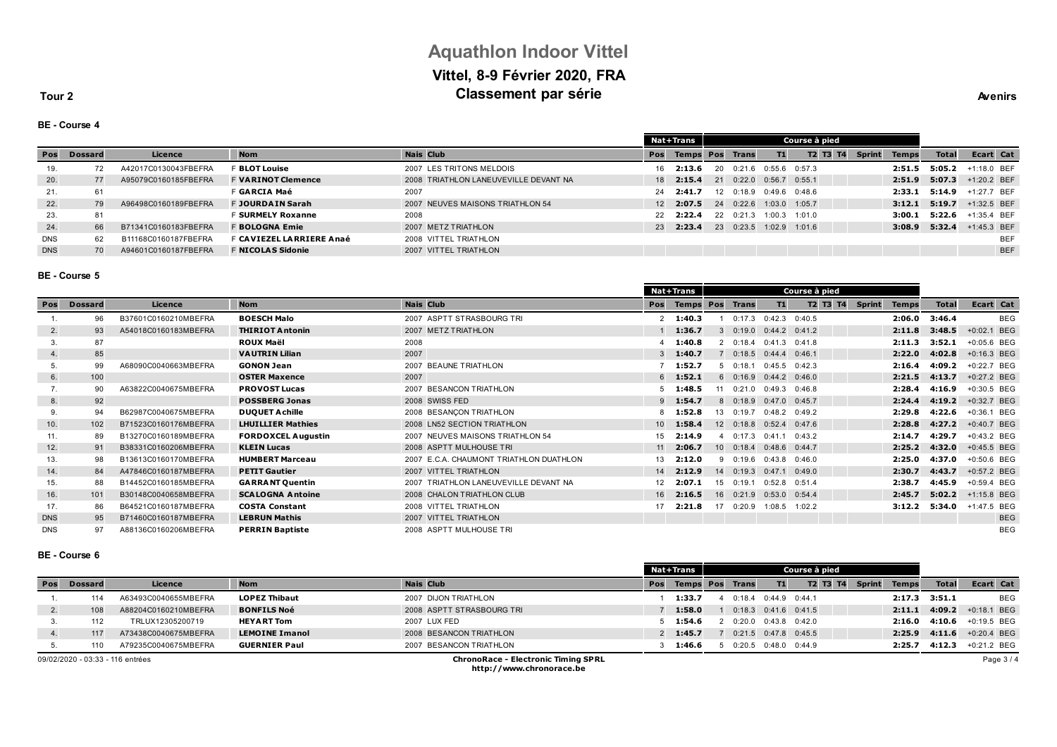# **Aquathlon Indoor Vittel Vittel, 8-9 Février 2020, FRA Classement par série Avenirs Avenirs**

**Tour 2**

#### **BE - Course 4**

|            |                |                      |                           |                                       |     | <b>Nat+Trans</b>       | Course à pied |           |                   |               |                 |               |              |              |               |            |
|------------|----------------|----------------------|---------------------------|---------------------------------------|-----|------------------------|---------------|-----------|-------------------|---------------|-----------------|---------------|--------------|--------------|---------------|------------|
| Pos        | <b>Dossard</b> | Licence              | <b>Nom</b>                | <b>Nais Club</b>                      | Pos | <b>Temps Pos Trans</b> |               |           | T1                |               | <b>T2 T3 T4</b> | <b>Sprint</b> | <b>Temps</b> | <b>Total</b> | Ecart Cat     |            |
| 19.        | 72             | A42017C0130043FBEFRA | <b>F BLOT Louise</b>      | 2007 LES TRITONS MELDOIS              | 16  | 2:13.6                 | 20            | 0:21.6    | $0:55.6$ $0:57.3$ |               |                 |               | 2:51.5       | 5:05.2       | +1:18.0 BEF   |            |
| 20.        | 77             | A95079C0160185FBEFRA | <b>F VARINOT Clemence</b> | 2008 TRIATHLON LANEUVEVILLE DEVANT NA | 18  | 2:15.4                 |               | 21 0:22.0 | $0:56.7$ 0:55.1   |               |                 |               | 2:51.9       | 5:07.3       | $+1:20.2$ BEF |            |
| 21.        | 61             |                      | F GARCIA Maé              | 2007                                  | 24  | 2:41.7                 |               | 12 0:18.9 | $0.496$ $0.486$   |               |                 |               | 2:33.1       | 5:14.9       | +1:27.7 BEF   |            |
| 22.        | 79             | A96498C0160189FBEFRA | <b>F JOURDAIN Sarah</b>   | 2007 NEUVES MAISONS TRIATHLON 54      | 12  | 2:07.5                 |               | 24 0:22.6 | 1:03.0 1:05.7     |               |                 |               | 3:12.1       | 5:19.7       | $+1:32.5$ BEF |            |
| 23.        | 81             |                      | <b>F SURMELY Roxanne</b>  | 2008                                  | 22  | 2:22.4                 |               | 22 0:21.3 |                   | 1:00.3 1:01.0 |                 |               | 3:00.1       | 5:22.6       | +1:35.4 BEF   |            |
| 24.        | 66             | B71341C0160183FBEFRA | <b>F BOLOGNA Emie</b>     | 2007 METZ TRIATHLON                   | 23  | 2:23.4                 |               | 23 0:23.5 | 1:02.9 1:01.6     |               |                 |               | 3:08.9       | 5:32.4       | $+1:45.3$ BEF |            |
| <b>DNS</b> | 62             | B11168C0160187FBEFRA | F CAVIEZEL LARRIERE Anaé  | 2008 VITTEL TRIATHLON                 |     |                        |               |           |                   |               |                 |               |              |              |               | <b>BEF</b> |
| <b>DNS</b> | 70             | A94601C0160187FBEFRA | <b>F NICOLAS Sidonie</b>  | 2007 VITTEL TRIATHLON                 |     |                        |               |           |                   |               |                 |               |              |              |               | <b>BEF</b> |

— —

### **BE - Course 5**

|            |                |                      |                           |                                         |                 | Nat+Trans              |    |                   |                   |        | Course à pied |               |              |              |               |
|------------|----------------|----------------------|---------------------------|-----------------------------------------|-----------------|------------------------|----|-------------------|-------------------|--------|---------------|---------------|--------------|--------------|---------------|
| Pos        | <b>Dossard</b> | Licence              | <b>Nom</b>                | <b>Nais Club</b>                        | Pos             | <b>Temps Pos Trans</b> |    |                   | T1                |        | T2 T3 T4      | <b>Sprint</b> | <b>Temps</b> | <b>Total</b> | Ecart Cat     |
|            | 96             | B37601C0160210MBEFRA | <b>BOESCH Malo</b>        | 2007 ASPTT STRASBOURG TRI               |                 | $2 \quad 1:40.3$       |    | 0:17.3            | 0:42.3            | 0:40.5 |               |               | 2:06.0       | 3:46.4       | <b>BEG</b>    |
| 2.         | 93             | A54018C0160183MBEFRA | <b>THIRIOT Antonin</b>    | 2007 METZ TRIATHLON                     |                 | 1:36.7                 |    | 30:19.0           | $0:44.2$ $0:41.2$ |        |               |               | 2:11.8       | 3:48.5       | +0:02.1 BEG   |
| 3.         | 87             |                      | <b>ROUX Maël</b>          | 2008                                    |                 | 1:40.8                 |    | 20:18.4           | 0:41.3            | 0:41.8 |               |               | 2:11.3       | 3:52.1       | +0:05.6 BEG   |
| 4.         | 85             |                      | <b>VAUTRIN Lilian</b>     | 2007                                    |                 | 1:40.7                 |    | 70:18.5           | $0:44.4$ $0:46.1$ |        |               |               | 2:22.0       | 4:02.8       | $+0:16.3$ BEG |
| 5.         | 99             | A68090C0040663MBEFRA | <b>GONON Jean</b>         | 2007 BEAUNE TRIATHLON                   |                 | 1:52.7                 |    | 50:18.1           | 0:45.5            | 0:42.3 |               |               | 2:16.4       | 4:09.2       | +0:22.7 BEG   |
| 6.         | 100            |                      | <b>OSTER Maxence</b>      | 2007                                    | 6               | 1:52.1                 |    | 60:16.9           | $0:44.2$ $0:46.0$ |        |               |               | 2:21.5       | 4:13.7       | +0:27.2 BEG   |
| 7.         | 90             | A63822C0040675MBEFRA | <b>PROVOST Lucas</b>      | 2007 BESANCON TRIATHLON                 |                 | 1:48.5                 |    | 0:21.0            | 0:49.3            | 0:46.8 |               |               | 2:28.4       | 4:16.9       | +0:30.5 BEG   |
| 8.         | 92             |                      | <b>POSSBERG Jonas</b>     | 2008 SWISS FED                          | 9               | 1:54.7                 |    | 8 0:18.9          | $0:47.0$ $0:45.7$ |        |               |               | 2:24.4       | 4:19.2       | +0:32.7 BEG   |
| 9.         | 94             | B62987C0040675MBEFRA | <b>DUQUET A chille</b>    | 2008 BESANCON TRIATHLON                 |                 | 1:52.8                 |    | 13 0:19.7         | $0:48.2$ $0:49.2$ |        |               |               | 2:29.8       | 4:22.6       | +0:36.1 BEG   |
| 10.        | 102            | B71523C0160176MBEFRA | <b>LHUILLIER Mathies</b>  | 2008 LN52 SECTION TRIATHLON             | 10 <sup>1</sup> | 1:58.4                 |    | $12 \quad 0:18.8$ | 0:52.4            | 0:47.6 |               |               | 2:28.8       | 4:27.2       | $+0:40.7$ BEG |
| 11.        | 89             | B13270C0160189MBEFRA | <b>FORDOXCEL Augustin</b> | 2007 NEUVES MAISONS TRIATHLON 54        | 15              | 2:14.9                 |    | 0:17.3            | 0:41.1            | 0:43.2 |               |               | 2:14.7       | 4:29.7       | +0:43.2 BEG   |
| 12.        | 91             | B38331C0160206MBEFRA | <b>KLEIN Lucas</b>        | 2008 ASPTT MULHOUSE TRI                 | 11              | 2:06.7                 |    | $10 \quad 0:18.4$ | $0:48.6$ $0:44.7$ |        |               |               | 2:25.2       | 4:32.0       | +0:45.5 BEG   |
| 13.        | 98             | B13613C0160170MBEFRA | <b>HUMBERT Marceau</b>    | 2007 E.C.A. CHAUMONT TRIATHLON DUATHLON | 13              | 2:12.0                 | -9 | 0:19.6            | 0:43.8            | 0:46.0 |               |               | 2:25.0       | 4:37.0       | +0:50.6 BEG   |
| 14.        | 84             | A47846C0160187MBEFRA | <b>PETIT Gautier</b>      | 2007 VITTEL TRIATHLON                   | 14              | 2:12.9                 | 14 | 0:19.3            | 0:47.1            | 0:49.0 |               |               | 2:30.7       | 4:43.7       | +0:57.2 BEG   |
| 15.        | 88             | B14452C0160185MBEFRA | <b>GARRANT Quentin</b>    | 2007 TRIATHLON LANEUVEVILLE DEVANT NA   | 12 <sup>2</sup> | 2:07.1                 |    | 15 0:19.1         | 0:52.8            | 0:51.4 |               |               | 2:38.7       | 4:45.9       | +0:59.4 BEG   |
| 16.        | 101            | B30148C0040658MBEFRA | <b>SCALOGNA Antoine</b>   | 2008 CHALON TRIATHLON CLUB              | 16              | 2:16.5                 |    | 16 0:21.9         | 0:53.0            | 0:54.4 |               |               | 2:45.7       | 5:02.2       | +1:15.8 BEG   |
| 17.        | 86             | B64521C0160187MBEFRA | <b>COSTA Constant</b>     | 2008 VITTEL TRIATHLON                   | 17              | 2:21.8                 | 17 | 0:20.9            | 1:08.5            | 1:02.2 |               |               | 3:12.2       | 5:34.0       | +1:47.5 BEG   |
| <b>DNS</b> | 95             | B71460C0160187MBEFRA | <b>LEBRUN Mathis</b>      | 2007 VITTEL TRIATHLON                   |                 |                        |    |                   |                   |        |               |               |              |              | <b>BEG</b>    |
| <b>DNS</b> | 97             | A88136C0160206MBEFRA | <b>PERRIN Baptiste</b>    | 2008 ASPTT MULHOUSE TRI                 |                 |                        |    |                   |                   |        |               |               |              |              | <b>BEG</b>    |

### **BE - Course 6**

|                 |                                                                                |                      |                       |                           |     | Course à pied<br>Nat+Trans |  |                            |                   |          |               |              |              |               |
|-----------------|--------------------------------------------------------------------------------|----------------------|-----------------------|---------------------------|-----|----------------------------|--|----------------------------|-------------------|----------|---------------|--------------|--------------|---------------|
| Pos             | <b>Dossard</b>                                                                 | Licence              | <b>Nom</b>            | <b>Nais Club</b>          | Pos | <b>Temps Pos</b>           |  | <b>Trans</b>               | T1                | T2 T3 T4 | <b>Sprint</b> | <b>Temps</b> | <b>Total</b> | Ecart Cat     |
|                 |                                                                                | A63493C0040655MBEFRA | <b>LOPEZ Thibaut</b>  | 2007 DIJON TRIATHLON      |     | 1:33.7                     |  | $0:18.4$ $0:44.9$ $0:44.1$ |                   |          |               | 2:17.3       | 3:51.1       | <b>BEG</b>    |
| $\mathcal{L}$ . | 108                                                                            | A88204C0160210MBEFRA | <b>BONFILS Noé</b>    | 2008 ASPTT STRASBOURG TRI |     | 1:58.0                     |  | $0:18.3$ $0:41.6$ $0:41.5$ |                   |          |               | 2:11.1       | 4:09.2       | $+0:18.1$ BEG |
|                 | 112                                                                            | TRLUX12305200719     | <b>HEYART Tom</b>     | 2007 LUX FED              |     | 1:54.6                     |  | 0:20.0                     | $0.43.8$ $0.42.0$ |          |               | 2:16.0       | 4:10.6       | +0:19.5 BEG   |
| 4.              | 117                                                                            | A73438C0040675MBEFRA | <b>LEMOINE Imanol</b> | 2008 BESANCON TRIATHLON   |     | 1:45.7                     |  | $0:21.5$ 0:47.8 0:45.5     |                   |          |               | 2:25.9       | 4:11.6       | $+0:20.4$ BEG |
|                 | 110                                                                            | A79235C0040675MBEFRA | <b>GUERNIER Paul</b>  | 2007 BESANCON TRIATHLON   |     | 1:46.6                     |  | $0:20.5$ $0:48.0$ $0:44.9$ |                   |          |               | 2:25.7       | 4:12.3       | +0:21.2 BEG   |
|                 | <b>ChronoRace - Electronic Timing SPRL</b><br>09/02/2020 - 03:33 - 116 entrées |                      |                       |                           |     |                            |  |                            |                   |          |               |              |              | Page 3/4      |

**http://www.chronorace.be**

Page 3 / 4